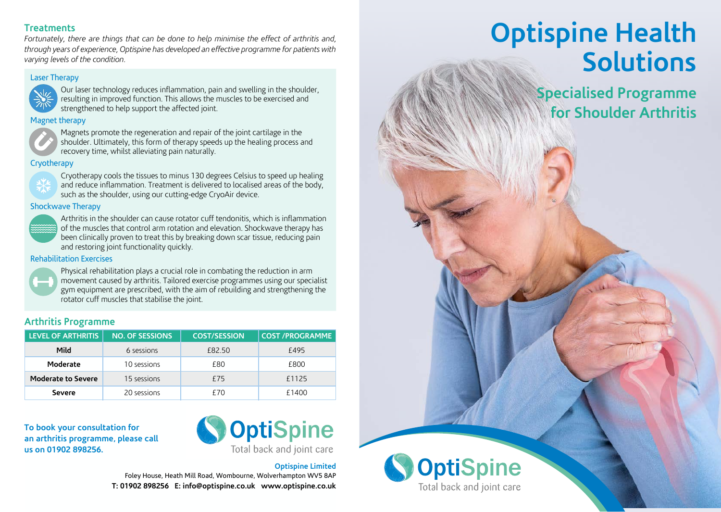### **Treatments**

*Fortunately, there are things that can be done to help minimise the effect of arthritis and, through years of experience, Optispine has developed an effective programme for patients with*  **BACK COVER** *varying levels of the condition.* **Treatments** 

### **Laser Therapy**<br> **Laser Therapy**



**Laster Sour laser technology reduces inflammation, pain and swelling in the shoulder,**  $\left\{\frac{1}{2}, \frac{1}{2}\right\}$  resulting in improved function. This allows the muscles to be exercised and strengthened to help support the affected joint.

### Magnet therapy **Magnet therapy**



 $\blacktriangleright$  Magnets promote the regeneration and repair of the joint cartilage in the  $\langle \bullet \rangle$  shoulder. Ultimately, this form of therapy speeds up the healing process and **Hydrotherapy** recovery time, whilst alleviating pain naturally.

#### **Cryotherapy** in the computation of the computation of the computation of the computation of the computation of the range of  $\mathbf{r}$  around  $\mathbf{r}$  around  $\mathbf{r}$  around  $\mathbf{r}$  around  $\mathbf{r}$



Cryotherapy cools the tissues to minus 130 degrees Celsius to speed up healing **CRYC** and reduce inflammation. Treatment is delivered to localised areas of the body,  $\blacksquare$  such as the shoulder, using our cutting-edge CryoAir device. and reduce the control of the control of the control of the control of the control of the control of the control of

### **Shockwave Therapy** and using the station



Arthritis in the shoulder can cause rotator cuff tendonitis, which is inflammation **LEVERNING** of the muscles that control arm rotation and elevation. Shockwave therapy has been clinically proven to treat this by breaking down scar tissue, reducing pain and restoring joint functionality quickly. **Moderate to severe** 15 sessions £75 £1050

### **Rehabilitation Exercises**



Physical rehabilitation plays a crucial role in combating the reduction in arm **OPTISPING MILL COPTISPING** TO MILL COPTISPING MILL COPTISPING MILL COPTISPING MILL COPTISPING MILL COPTISPING MILL COPTISPING MILL COPTISPING MILL COPTISPING MILL COPTISPING MILL COPTISPING MILL COPTISPING MILL COPTISPING **t. t. b. b. e. gym equipment are prescribed, with the aim of rebuilding and strengthening the** rotator cuff muscles that stabilise the joint.

### **Arthritis Programme**

| <b>LEVEL OF ARTHRITIS</b> | <b>NO. OF SESSIONS</b> | <b>COST/SESSION</b> | <b>COST /PROGRAMME</b> |
|---------------------------|------------------------|---------------------|------------------------|
| Mild                      | 6 sessions             | £82.50              | £495                   |
| Moderate                  | 10 sessions            | £80                 | £800                   |
| <b>Moderate to Severe</b> | 15 sessions            | £75                 | £1125                  |
| <b>Severe</b>             | 20 sessions            | f70                 | £1400                  |

**To book your consultation for an arthritis programme, please call us on 01902 898256.**



### **Optispine Limited**

Foley House, Heath Mill Road, Wombourne, Wolverhampton WV5 8AP **T: 01902 898256 E: info@optispine.co.uk www.optispine.co.uk**

# **Optispine Health Solutions**

**Specialised Programme for Shoulder Arthritis**